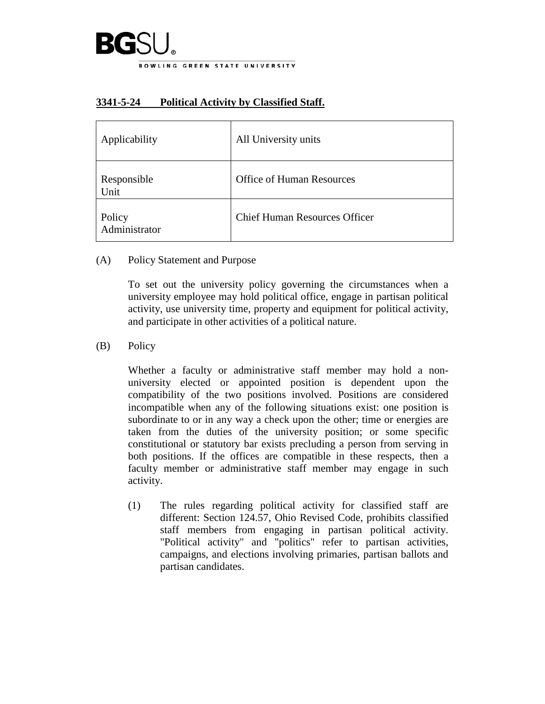

## **3341-5-24 Political Activity by Classified Staff.**

| Applicability           | All University units                 |
|-------------------------|--------------------------------------|
| Responsible<br>Unit     | <b>Office of Human Resources</b>     |
| Policy<br>Administrator | <b>Chief Human Resources Officer</b> |

(A) Policy Statement and Purpose

To set out the university policy governing the circumstances when a university employee may hold political office, engage in partisan political activity, use university time, property and equipment for political activity, and participate in other activities of a political nature.

## (B) Policy

Whether a faculty or administrative staff member may hold a nonuniversity elected or appointed position is dependent upon the compatibility of the two positions involved. Positions are considered incompatible when any of the following situations exist: one position is subordinate to or in any way a check upon the other; time or energies are taken from the duties of the university position; or some specific constitutional or statutory bar exists precluding a person from serving in both positions. If the offices are compatible in these respects, then a faculty member or administrative staff member may engage in such activity.

(1) The rules regarding political activity for classified staff are different: Section 124.57, Ohio Revised Code, prohibits classified staff members from engaging in partisan political activity. "Political activity" and "politics" refer to partisan activities, campaigns, and elections involving primaries, partisan ballots and partisan candidates.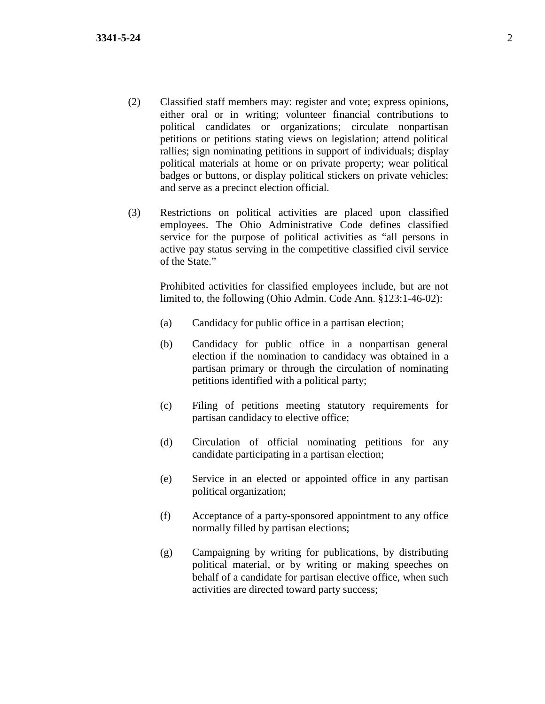- (2) Classified staff members may: register and vote; express opinions, either oral or in writing; volunteer financial contributions to political candidates or organizations; circulate nonpartisan petitions or petitions stating views on legislation; attend political rallies; sign nominating petitions in support of individuals; display political materials at home or on private property; wear political badges or buttons, or display political stickers on private vehicles; and serve as a precinct election official.
- (3) Restrictions on political activities are placed upon classified employees. The Ohio Administrative Code defines classified service for the purpose of political activities as "all persons in active pay status serving in the competitive classified civil service of the State."

Prohibited activities for classified employees include, but are not limited to, the following (Ohio Admin. Code Ann. §123:1-46-02):

- (a) Candidacy for public office in a partisan election;
- (b) Candidacy for public office in a nonpartisan general election if the nomination to candidacy was obtained in a partisan primary or through the circulation of nominating petitions identified with a political party;
- (c) Filing of petitions meeting statutory requirements for partisan candidacy to elective office;
- (d) Circulation of official nominating petitions for any candidate participating in a partisan election;
- (e) Service in an elected or appointed office in any partisan political organization;
- (f) Acceptance of a party-sponsored appointment to any office normally filled by partisan elections;
- (g) Campaigning by writing for publications, by distributing political material, or by writing or making speeches on behalf of a candidate for partisan elective office, when such activities are directed toward party success;